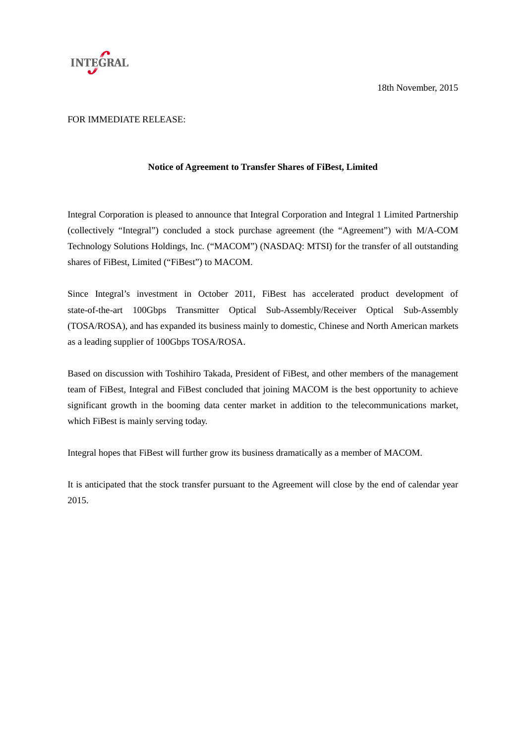

18th November, 2015

## FOR IMMEDIATE RELEASE:

## **Notice of Agreement to Transfer Shares of FiBest, Limited**

Integral Corporation is pleased to announce that Integral Corporation and Integral 1 Limited Partnership (collectively "Integral") concluded a stock purchase agreement (the "Agreement") with M/A-COM Technology Solutions Holdings, Inc. ("MACOM") (NASDAQ: MTSI) for the transfer of all outstanding shares of FiBest, Limited ("FiBest") to MACOM.

Since Integral's investment in October 2011, FiBest has accelerated product development of state-of-the-art 100Gbps Transmitter Optical Sub-Assembly/Receiver Optical Sub-Assembly (TOSA/ROSA), and has expanded its business mainly to domestic, Chinese and North American markets as a leading supplier of 100Gbps TOSA/ROSA.

Based on discussion with Toshihiro Takada, President of FiBest, and other members of the management team of FiBest, Integral and FiBest concluded that joining MACOM is the best opportunity to achieve significant growth in the booming data center market in addition to the telecommunications market, which FiBest is mainly serving today.

Integral hopes that FiBest will further grow its business dramatically as a member of MACOM.

It is anticipated that the stock transfer pursuant to the Agreement will close by the end of calendar year 2015.